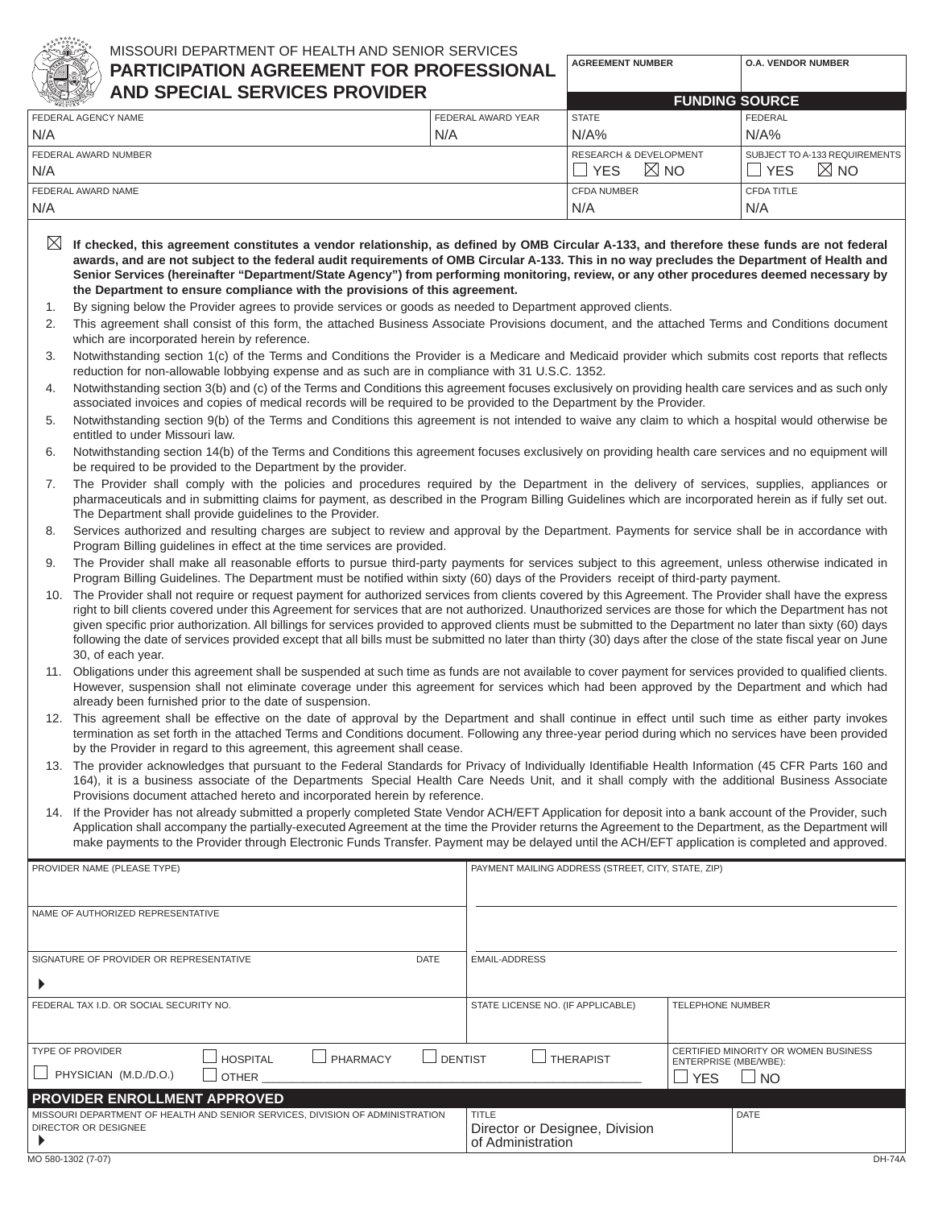

## MISSOURI DEPARTMENT OF HEALTH AND SENIOR SERVICES **PARTICIPATION AGREEMENT FOR PROFESSIONAL**

| 水石ツ<br><b>AND SPECIAL SERVICES PROVIDER</b> |                                   |                               |
|---------------------------------------------|-----------------------------------|-------------------------------|
|                                             |                                   | <b>FUNDING SOURCE</b>         |
| FEDERAL AWARD YEAR                          | <b>STATE</b>                      | <b>FEDERAL</b>                |
| N/A                                         | N/A%                              | $N/A\%$                       |
|                                             | <b>RESEARCH &amp; DEVELOPMENT</b> | SUBJECT TO A-133 REQUIREMENTS |
| N/A                                         |                                   | $\boxtimes$ NO<br><b>YES</b>  |
|                                             | <b>CFDA NUMBER</b>                | <b>CFDA TITLE</b>             |
|                                             | N/A                               | N/A                           |
|                                             |                                   | $\boxtimes$ NO<br><b>YES</b>  |

**AGREEMENT NUMBER O.A. VENDOR NUMBER**

- $\boxtimes\,$  If checked, this agreement constitutes a vendor relationship, as defined by OMB Circular A-133, and therefore these funds are not federal awards, and are not subject to the federal audit requirements of OMB Circular A-133. This in no way precludes the Department of Health and Senior Services (hereinafter "Department/State Agency") from performing monitoring, review, or any other procedures deemed necessary by **the Department to ensure compliance with the provisions of this agreement.**
- 1. By signing below the Provider agrees to provide services or goods as needed to Department approved clients.
- 2. This agreement shall consist of this form, the attached Business Associate Provisions document, and the attached Terms and Conditions document which are incorporated herein by reference.
- 3. Notwithstanding section 1(c) of the Terms and Conditions the Provider is a Medicare and Medicaid provider which submits cost reports that reflects reduction for non-allowable lobbying expense and as such are in compliance with 31 U.S.C. 1352.
- 4. Notwithstanding section 3(b) and (c) of the Terms and Conditions this agreement focuses exclusively on providing health care services and as such only associated invoices and copies of medical records will be required to be provided to the Department by the Provider.
- 5. Notwithstanding section 9(b) of the Terms and Conditions this agreement is not intended to waive any claim to which a hospital would otherwise be entitled to under Missouri law.
- 6. Notwithstanding section 14(b) of the Terms and Conditions this agreement focuses exclusively on providing health care services and no equipment will be required to be provided to the Department by the provider.
- 7. The Provider shall comply with the policies and procedures required by the Department in the delivery of services, supplies, appliances or pharmaceuticals and in submitting claims for payment, as described in the Program Billing Guidelines which are incorporated herein as if fully set out. The Department shall provide guidelines to the Provider.
- 8. Services authorized and resulting charges are subject to review and approval by the Department. Payments for service shall be in accordance with Program Billing guidelines in effect at the time services are provided.
- 9. The Provider shall make all reasonable efforts to pursue third-party payments for services subject to this agreement, unless otherwise indicated in Program Billing Guidelines. The Department must be notified within sixty (60) days of the Provider s receipt of third-party payment.
- 10. The Provider shall not require or request payment for authorized services from clients covered by this Agreement. The Provider shall have the express right to bill clients covered under this Agreement for services that are not authorized. Unauthorized services are those for which the Department has not given specific prior authorization. All billings for services provided to approved clients must be submitted to the Department no later than sixty (60) days following the date of services provided except that all bills must be submitted no later than thirty (30) days after the close of the state fiscal year on June 30, of each year.
- 11. Obligations under this agreement shall be suspended at such time as funds are not available to cover payment for services provided to qualified clients. However, suspension shall not eliminate coverage under this agreement for services which had been approved by the Department and which had already been furnished prior to the date of suspension.
- 12. This agreement shall be effective on the date of approval by the Department and shall continue in effect until such time as either party invokes termination as set forth in the attached Terms and Conditions document. Following any three-year period during which no services have been provided by the Provider in regard to this agreement, this agreement shall cease.
- 13. The provider acknowledges that pursuant to the Federal Standards for Privacy of Individually Identifiable Health Information (45 CFR Parts 160 and 164), it is a business associate of the Department s Special Health Care Needs Unit, and it shall comply with the additional Business Associate Provisions document attached hereto and incorporated herein by reference.
- 14. If the Provider has not already submitted a properly completed State Vendor ACH/EFT Application for deposit into a bank account of the Provider, such Application shall accompany the partially-executed Agreement at the time the Provider returns the Agreement to the Department, as the Department will make payments to the Provider through Electronic Funds Transfer. Payment may be delayed until the ACH/EFT application is completed and approved.

| PROVIDER NAME (PLEASE TYPE)                                                                                       | PAYMENT MAILING ADDRESS (STREET, CITY, STATE, ZIP)                                                                             |  |  |
|-------------------------------------------------------------------------------------------------------------------|--------------------------------------------------------------------------------------------------------------------------------|--|--|
| NAME OF AUTHORIZED REPRESENTATIVE                                                                                 |                                                                                                                                |  |  |
| <b>DATE</b><br>SIGNATURE OF PROVIDER OR REPRESENTATIVE                                                            | <b>EMAIL-ADDRESS</b>                                                                                                           |  |  |
| FEDERAL TAX I.D. OR SOCIAL SECURITY NO.                                                                           | <b>TELEPHONE NUMBER</b><br>STATE LICENSE NO. (IF APPLICABLE)                                                                   |  |  |
| <b>TYPE OF PROVIDER</b><br><b>HOSPITAL</b><br>$\Box$ PHARMACY<br>DENTIST<br>PHYSICIAN (M.D./D.O.)<br>$\Box$ other | CERTIFIED MINORITY OR WOMEN BUSINESS<br>$\Box$ THERAPIST<br>ENTERPRISE (MBE/WBE):<br>$\overline{\phantom{a}}$ NO<br><b>YES</b> |  |  |
| <b>PROVIDER ENROLLMENT APPROVED</b>                                                                               |                                                                                                                                |  |  |
| MISSOURI DEPARTMENT OF HEALTH AND SENIOR SERVICES, DIVISION OF ADMINISTRATION<br>DIRECTOR OR DESIGNEE             | <b>TITLE</b><br><b>DATE</b><br>Director or Designee, Division<br>of Administration                                             |  |  |